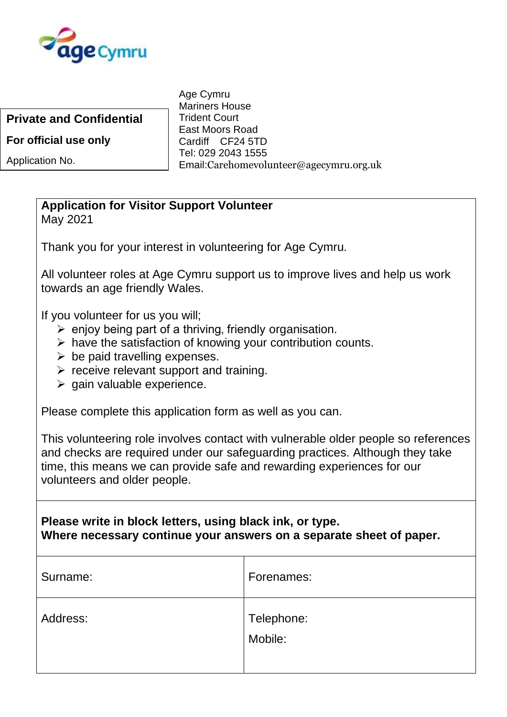

**Private and Confidential**

**For official use only**

Application No.

Age Cymru Mariners House Trident Court East Moors Road Cardiff CF24 5TD Tel: 029 2043 1555 Email:Carehomevolunteer@agecymru.org.uk

## **Application for Visitor Support Volunteer**

May 2021

Thank you for your interest in volunteering for Age Cymru.

All volunteer roles at Age Cymru support us to improve lives and help us work towards an age friendly Wales.

If you volunteer for us you will;

- $\triangleright$  enjoy being part of a thriving, friendly organisation.
- $\triangleright$  have the satisfaction of knowing your contribution counts.
- $\triangleright$  be paid travelling expenses.
- $\triangleright$  receive relevant support and training.
- $\triangleright$  gain valuable experience.

Please complete this application form as well as you can.

This volunteering role involves contact with vulnerable older people so references and checks are required under our safeguarding practices. Although they take time, this means we can provide safe and rewarding experiences for our volunteers and older people.

**Please write in block letters, using black ink, or type. Where necessary continue your answers on a separate sheet of paper.**

| Surname: | Forenames:            |
|----------|-----------------------|
| Address: | Telephone:<br>Mobile: |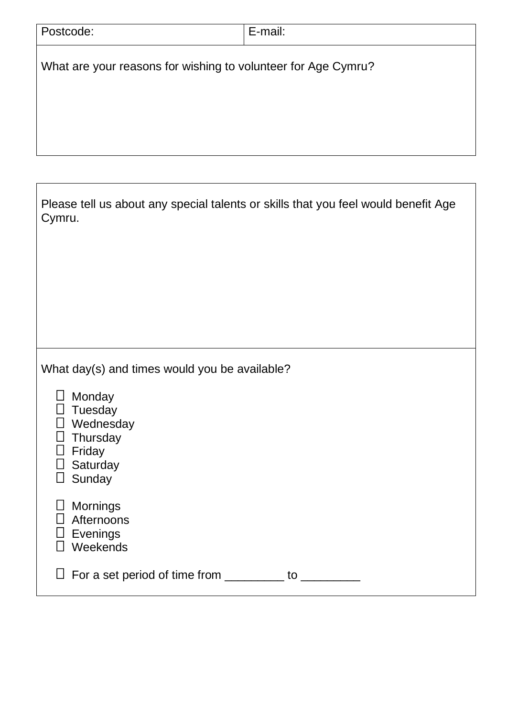| Postcode:                                                                                                                                              | E-mail:                                                                            |
|--------------------------------------------------------------------------------------------------------------------------------------------------------|------------------------------------------------------------------------------------|
| What are your reasons for wishing to volunteer for Age Cymru?                                                                                          |                                                                                    |
|                                                                                                                                                        |                                                                                    |
| Cymru.                                                                                                                                                 | Please tell us about any special talents or skills that you feel would benefit Age |
|                                                                                                                                                        |                                                                                    |
| What day(s) and times would you be available?<br>Monday<br>$\Box$<br>Tuesday<br>Wednesday<br>Thursday<br>Friday<br>$\sqcup$<br>Saturday<br>Sunday<br>⊔ |                                                                                    |
| <b>Mornings</b><br>Afternoons<br>Evenings<br>Weekends                                                                                                  |                                                                                    |
| $\Box$ For a set period of time from _________ to _________                                                                                            |                                                                                    |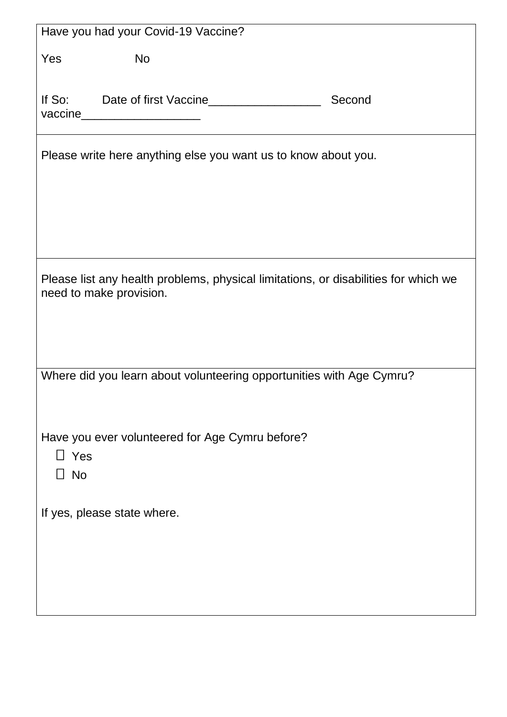|                         | Have you had your Covid-19 Vaccine?                                                 |        |
|-------------------------|-------------------------------------------------------------------------------------|--------|
| Yes                     | <b>No</b>                                                                           |        |
|                         | If So: Date of first Vaccine<br>vaccine_______________________                      | Second |
|                         | Please write here anything else you want us to know about you.                      |        |
| need to make provision. | Please list any health problems, physical limitations, or disabilities for which we |        |
|                         | Where did you learn about volunteering opportunities with Age Cymru?                |        |
| $\Box$ Yes<br>$\Box$ No | Have you ever volunteered for Age Cymru before?                                     |        |
|                         | If yes, please state where.                                                         |        |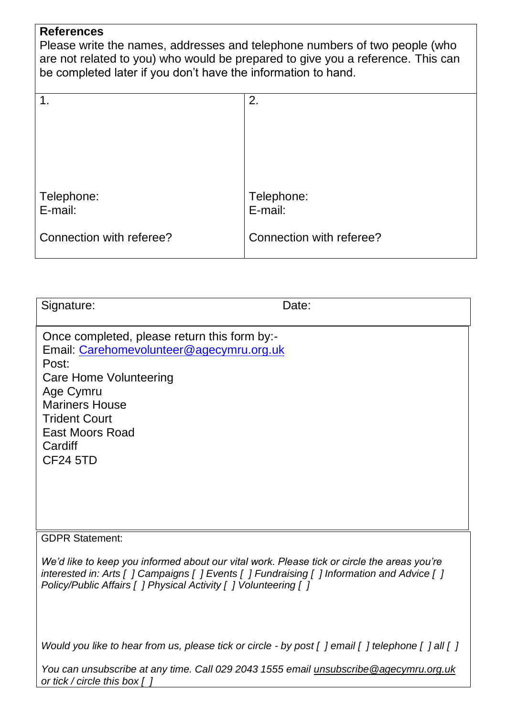## **References**

Please write the names, addresses and telephone numbers of two people (who are not related to you) who would be prepared to give you a reference. This can be completed later if you don't have the information to hand.

| $\mathbf 1$ .            | 2.                       |
|--------------------------|--------------------------|
|                          |                          |
|                          |                          |
|                          |                          |
|                          |                          |
| Telephone:               | Telephone:               |
| E-mail:                  | E-mail:                  |
| Connection with referee? | Connection with referee? |

| Signature:                                                                                                                                                                                                                                        | Date: |
|---------------------------------------------------------------------------------------------------------------------------------------------------------------------------------------------------------------------------------------------------|-------|
| Once completed, please return this form by:-<br>Email: Carehomevolunteer@agecymru.org.uk<br>Post:<br>Care Home Volunteering<br>Age Cymru<br><b>Mariners House</b><br><b>Trident Court</b><br><b>East Moors Road</b><br>Cardiff<br><b>CF24 5TD</b> |       |

## GDPR Statement:

*We'd like to keep you informed about our vital work. Please tick or circle the areas you're interested in: Arts [ ] Campaigns [ ] Events [ ] Fundraising [ ] Information and Advice [ ] Policy/Public Affairs [ ] Physical Activity [ ] Volunteering [ ]*

*Would you like to hear from us, please tick or circle - by post [ ] email [ ] telephone [ ] all [ ]*

*You can unsubscribe at any time. Call 029 2043 1555 email [unsubscribe@agecymru.org.uk](mailto:unsubscribe@agecymru.org.uk) or tick / circle this box [ ]*